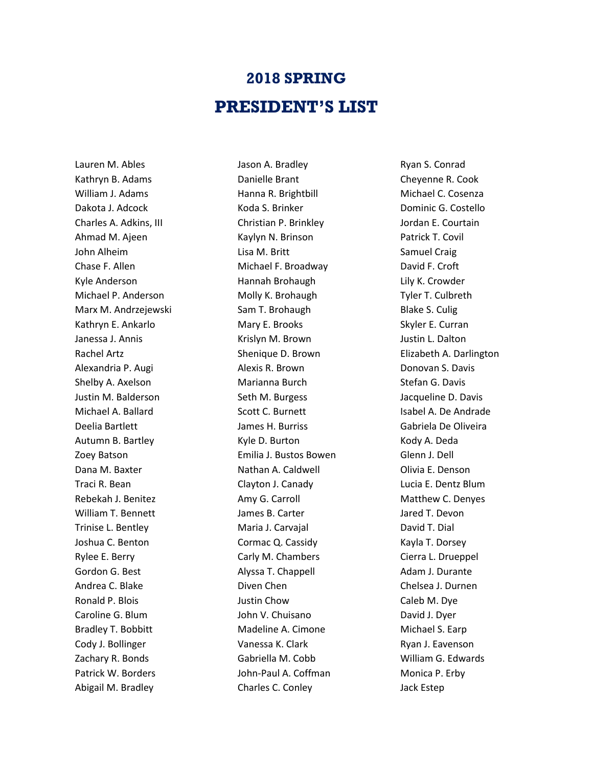## **2018 SPRING PRESIDENT'S LIST**

Lauren M. Ables Kathryn B. Adams William J. Adams Dakota J. Adcock Charles A. Adkins, III Ahmad M. Ajeen John Alheim Chase F. Allen Kyle Anderson Michael P. Anderson Marx M. Andrzejewski Kathryn E. Ankarlo Janessa J. Annis Rachel Artz Alexandria P. Augi Shelby A. Axelson Justin M. Balderson Michael A. Ballard Deelia Bartlett Autumn B. Bartley Zoey Batson Dana M. Baxter Traci R. Bean Rebekah J. Benitez William T. Bennett Trinise L. Bentley Joshua C. Benton Rylee E. Berry Gordon G. Best Andrea C. Blake Ronald P. Blois Caroline G. Blum Bradley T. Bobbitt Cody J. Bollinger Zachary R. Bonds Patrick W. Borders Abigail M. Bradley

Jason A. Bradley Danielle Brant Hanna R. Brightbill Koda S. Brinker Christian P. Brinkley Kaylyn N. Brinson Lisa M. Britt Michael F. Broadway Hannah Brohaugh Molly K. Brohaugh Sam T. Brohaugh Mary E. Brooks Krislyn M. Brown Shenique D. Brown Alexis R. Brown Marianna Burch Seth M. Burgess Scott C. Burnett James H. Burriss Kyle D. Burton Emilia J. Bustos Bowen Nathan A. Caldwell Clayton J. Canady Amy G. Carroll James B. Carter Maria J. Carvajal Cormac Q. Cassidy Carly M. Chambers Alyssa T. Chappell Diven Chen Justin Chow John V. Chuisano Madeline A. Cimone Vanessa K. Clark Gabriella M. Cobb John-Paul A. Coffman Charles C. Conley

Ryan S. Conrad Cheyenne R. Cook Michael C. Cosenza Dominic G. Costello Jordan E. Courtain Patrick T. Covil Samuel Craig David F. Croft Lily K. Crowder Tyler T. Culbreth Blake S. Culig Skyler E. Curran Justin L. Dalton Elizabeth A. Darlington Donovan S. Davis Stefan G. Davis Jacqueline D. Davis Isabel A. De Andrade Gabriela De Oliveira Kody A. Deda Glenn J. Dell Olivia E. Denson Lucia E. Dentz Blum Matthew C. Denyes Jared T. Devon David T. Dial Kayla T. Dorsey Cierra L. Drueppel Adam J. Durante Chelsea J. Durnen Caleb M. Dye David J. Dyer Michael S. Earp Ryan J. Eavenson William G. Edwards Monica P. Erby Jack Estep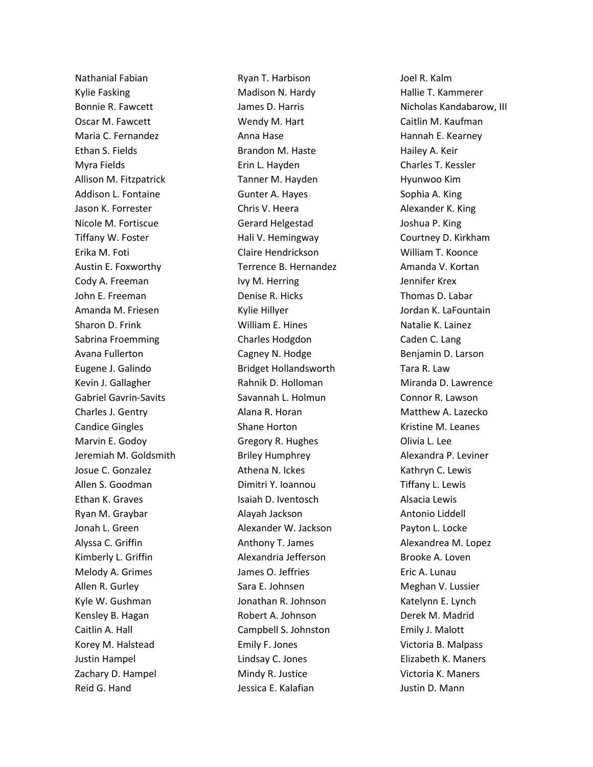Nathanial Fabian Kylie Fasking Bonnie R. Fawcett Oscar M. Fawcett Maria C. Fernandez Ethan S. Fields Myra Fields Allison M. Fitzpatrick Addison L. Fontaine Jason K. Forrester Nicole M. Fortiscue Tiffany W. Foster Erika M. Foti Austin E. Foxworthy Cody A. Freeman John E. Freeman Amanda M. Friesen Sharon D. Frink Sabrina Froemming Avana Fullerton Eugene J. Galindo Kevin J. Gallagher Gabriel Gavrin-Savits Charles J. Gentry Candice Gingles Marvin E. Godoy Jeremiah M. Goldsmith Josue C. Gonzalez Allen S. Goodman Ethan K. Graves Ryan M. Graybar Jonah L. Green Alyssa C. Griffin Kimberly L. Griffin Melody A. Grimes Allen R. Gurley Kyle W. Gushman Kensley B. Hagan Caitlin A. Hall Korey M. Halstead Justin Hampel Zachary D. Hampel Reid G. Hand

Ryan T. Harbison Madison N. Hardy James D. Harris Wendy M. Hart Anna Hase Brandon M. Haste Erin L. Hayden Tanner M. Hayden Gunter A. Hayes Chris V. Heera Gerard Helgestad Hali V. Hemingway Claire Hendrickson Terrence B. Hernandez Ivy M. Herring Denise R. Hicks Kylie Hillyer William E. Hines Charles Hodgdon Cagney N. Hodge Bridget Hollandsworth Rahnik D. Holloman Savannah L. Holmun Alana R. Horan Shane Horton Gregory R. Hughes Briley Humphrey Athena N. Ickes Dimitri Y. Ioannou Isaiah D. Iventosch Alayah Jackson Alexander W. Jackson Anthony T. James Alexandria Jefferson James O. Jeffries Sara E. Johnsen Jonathan R. Johnson Robert A. Johnson Campbell S. Johnston Emily F. Jones Lindsay C. Jones Mindy R. Justice Jessica E. Kalafian

Joel R. Kalm Hallie T. Kammerer Nicholas Kandabarow, III Caitlin M. Kaufman Hannah E. Kearney Hailey A. Keir Charles T. Kessler Hyunwoo Kim Sophia A. King Alexander K. King Joshua P. King Courtney D. Kirkham William T. Koonce Amanda V. Kortan Jennifer Krex Thomas D. Labar Jordan K. LaFountain Natalie K. Lainez Caden C. Lang Benjamin D. Larson Tara R. Law Miranda D. Lawrence Connor R. Lawson Matthew A. Lazecko Kristine M. Leanes Olivia L. Lee Alexandra P. Leviner Kathryn C. Lewis Tiffany L. Lewis Alsacia Lewis Antonio Liddell Payton L. Locke Alexandrea M. Lopez Brooke A. Loven Eric A. Lunau Meghan V. Lussier Katelynn E. Lynch Derek M. Madrid Emily J. Malott Victoria B. Malpass Elizabeth K. Maners Victoria K. Maners Justin D. Mann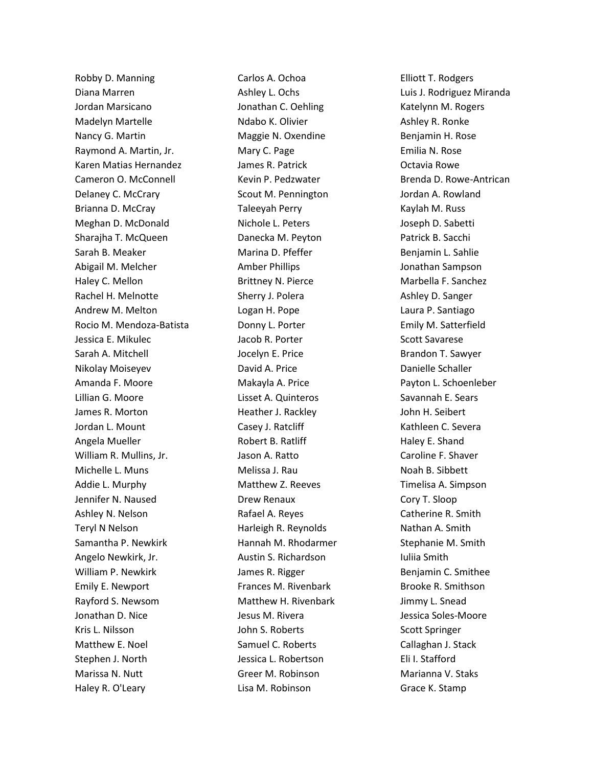Robby D. Manning Diana Marren Jordan Marsicano Madelyn Martelle Nancy G. Martin Raymond A. Martin, Jr. Karen Matias Hernandez Cameron O. McConnell Delaney C. McCrary Brianna D. McCray Meghan D. McDonald Sharajha T. McQueen Sarah B. Meaker Abigail M. Melcher Haley C. Mellon Rachel H. Melnotte Andrew M. Melton Rocio M. Mendoza-Batista Jessica E. Mikulec Sarah A. Mitchell Nikolay Moiseyev Amanda F. Moore Lillian G. Moore James R. Morton Jordan L. Mount Angela Mueller William R. Mullins, Jr. Michelle L. Muns Addie L. Murphy Jennifer N. Naused Ashley N. Nelson Teryl N Nelson Samantha P. Newkirk Angelo Newkirk, Jr. William P. Newkirk Emily E. Newport Rayford S. Newsom Jonathan D. Nice Kris L. Nilsson Matthew E. Noel Stephen J. North Marissa N. Nutt Haley R. O'Leary

Carlos A. Ochoa Ashley L. Ochs Jonathan C. Oehling Ndabo K. Olivier Maggie N. Oxendine Mary C. Page James R. Patrick Kevin P. Pedzwater Scout M. Pennington Taleeyah Perry Nichole L. Peters Danecka M. Peyton Marina D. Pfeffer Amber Phillips Brittney N. Pierce Sherry J. Polera Logan H. Pope Donny L. Porter Jacob R. Porter Jocelyn E. Price David A. Price Makayla A. Price Lisset A. Quinteros Heather J. Rackley Casey J. Ratcliff Robert B. Ratliff Jason A. Ratto Melissa J. Rau Matthew Z. Reeves Drew Renaux Rafael A. Reyes Harleigh R. Reynolds Hannah M. Rhodarmer Austin S. Richardson James R. Rigger Frances M. Rivenbark Matthew H. Rivenbark Jesus M. Rivera John S. Roberts Samuel C. Roberts Jessica L. Robertson Greer M. Robinson Lisa M. Robinson

Elliott T. Rodgers Luis J. Rodriguez Miranda Katelynn M. Rogers Ashley R. Ronke Benjamin H. Rose Emilia N. Rose Octavia Rowe Brenda D. Rowe-Antrican Jordan A. Rowland Kaylah M. Russ Joseph D. Sabetti Patrick B. Sacchi Benjamin L. Sahlie Jonathan Sampson Marbella F. Sanchez Ashley D. Sanger Laura P. Santiago Emily M. Satterfield Scott Savarese Brandon T. Sawyer Danielle Schaller Payton L. Schoenleber Savannah E. Sears John H. Seibert Kathleen C. Severa Haley E. Shand Caroline F. Shaver Noah B. Sibbett Timelisa A. Simpson Cory T. Sloop Catherine R. Smith Nathan A. Smith Stephanie M. Smith Iuliia Smith Benjamin C. Smithee Brooke R. Smithson Jimmy L. Snead Jessica Soles-Moore Scott Springer Callaghan J. Stack Eli I. Stafford Marianna V. Staks Grace K. Stamp